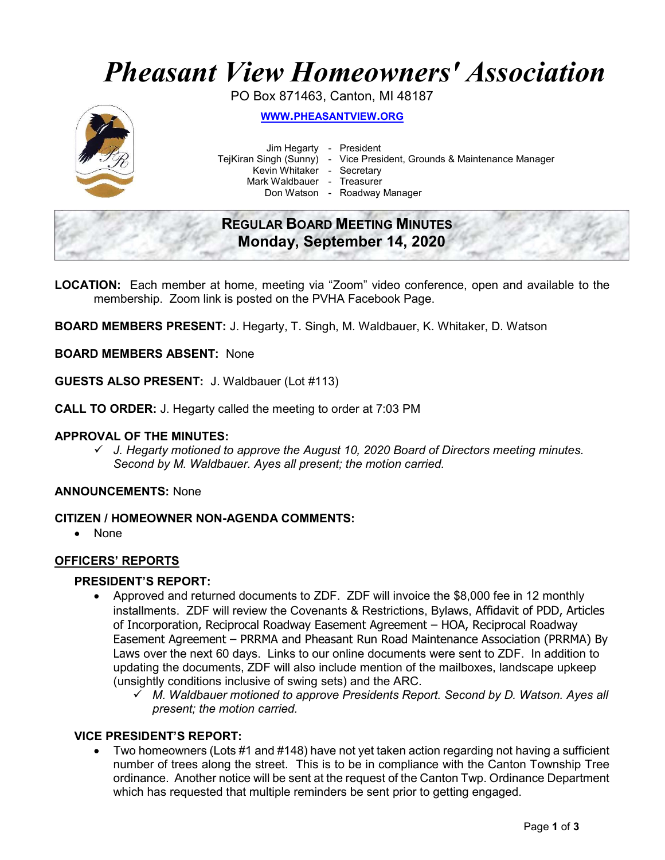# Pheasant View Homeowners' Association

PO Box 871463, Canton, MI 48187



WWW.PHEASANTVIEW.ORG

Jim Hegarty - President

TejKiran Singh (Sunny) - Vice President, Grounds & Maintenance Manager

Kevin Whitaker - Secretary

Mark Waldbauer - Treasurer

Don Watson - Roadway Manager

# REGULAR BOARD MEETING MINUTES Monday, September 14, 2020

LOCATION: Each member at home, meeting via "Zoom" video conference, open and available to the membership. Zoom link is posted on the PVHA Facebook Page.

BOARD MEMBERS PRESENT: J. Hegarty, T. Singh, M. Waldbauer, K. Whitaker, D. Watson

# BOARD MEMBERS ABSENT: None

GUESTS ALSO PRESENT: J. Waldbauer (Lot #113)

CALL TO ORDER: J. Hegarty called the meeting to order at 7:03 PM

## APPROVAL OF THE MINUTES:

 $\checkmark$  J. Hegarty motioned to approve the August 10, 2020 Board of Directors meeting minutes. Second by M. Waldbauer. Ayes all present; the motion carried.

## ANNOUNCEMENTS: None

## CITIZEN / HOMEOWNER NON-AGENDA COMMENTS:

• None

## OFFICERS' REPORTS

## PRESIDENT'S REPORT:

- Approved and returned documents to ZDF. ZDF will invoice the \$8,000 fee in 12 monthly installments. ZDF will review the Covenants & Restrictions, Bylaws, Affidavit of PDD, Articles of Incorporation, Reciprocal Roadway Easement Agreement – HOA, Reciprocal Roadway Easement Agreement – PRRMA and Pheasant Run Road Maintenance Association (PRRMA) By Laws over the next 60 days. Links to our online documents were sent to ZDF. In addition to updating the documents, ZDF will also include mention of the mailboxes, landscape upkeep (unsightly conditions inclusive of swing sets) and the ARC.
	- $\checkmark$  M. Waldbauer motioned to approve Presidents Report. Second by D. Watson. Ayes all present; the motion carried.

## VICE PRESIDENT'S REPORT:

 Two homeowners (Lots #1 and #148) have not yet taken action regarding not having a sufficient number of trees along the street. This is to be in compliance with the Canton Township Tree ordinance. Another notice will be sent at the request of the Canton Twp. Ordinance Department which has requested that multiple reminders be sent prior to getting engaged.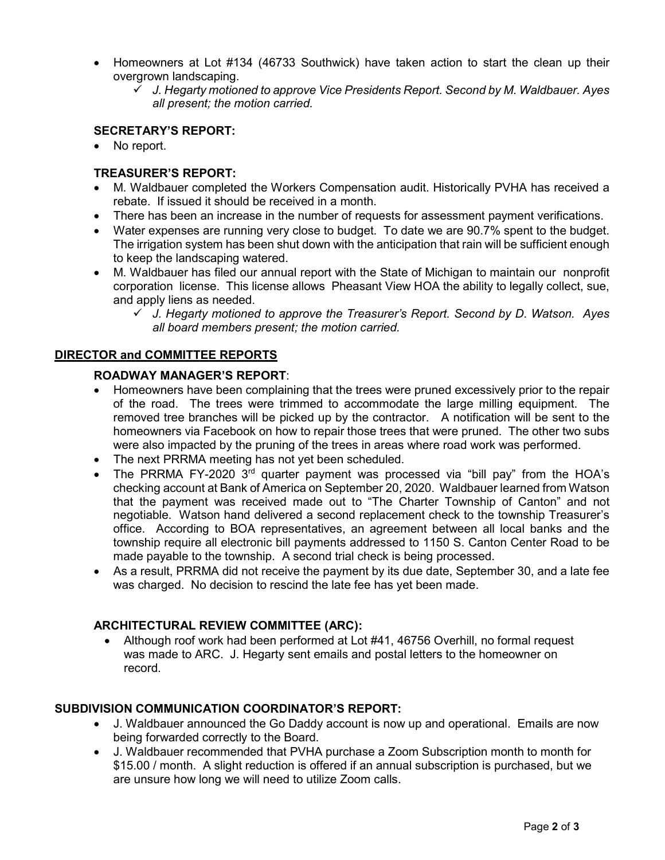- Homeowners at Lot #134 (46733 Southwick) have taken action to start the clean up their overgrown landscaping.
	- $\checkmark$  J. Hegarty motioned to approve Vice Presidents Report. Second by M. Waldbauer. Ayes all present; the motion carried.

# SECRETARY'S REPORT:

• No report.

# TREASURER'S REPORT:

- M. Waldbauer completed the Workers Compensation audit. Historically PVHA has received a rebate. If issued it should be received in a month.
- There has been an increase in the number of requests for assessment payment verifications.
- Water expenses are running very close to budget. To date we are 90.7% spent to the budget. The irrigation system has been shut down with the anticipation that rain will be sufficient enough to keep the landscaping watered.
- M. Waldbauer has filed our annual report with the State of Michigan to maintain our nonprofit corporation license. This license allows Pheasant View HOA the ability to legally collect, sue, and apply liens as needed.
	- $\checkmark$  J. Hegarty motioned to approve the Treasurer's Report. Second by D. Watson. Ayes all board members present; the motion carried.

# DIRECTOR and COMMITTEE REPORTS

## ROADWAY MANAGER'S REPORT:

- Homeowners have been complaining that the trees were pruned excessively prior to the repair of the road. The trees were trimmed to accommodate the large milling equipment. The removed tree branches will be picked up by the contractor. A notification will be sent to the homeowners via Facebook on how to repair those trees that were pruned. The other two subs were also impacted by the pruning of the trees in areas where road work was performed.
- The next PRRMA meeting has not yet been scheduled.
- The PRRMA FY-2020 3rd quarter payment was processed via "bill pay" from the HOA's checking account at Bank of America on September 20, 2020. Waldbauer learned from Watson that the payment was received made out to "The Charter Township of Canton" and not negotiable. Watson hand delivered a second replacement check to the township Treasurer's office. According to BOA representatives, an agreement between all local banks and the township require all electronic bill payments addressed to 1150 S. Canton Center Road to be made payable to the township. A second trial check is being processed.
- As a result, PRRMA did not receive the payment by its due date, September 30, and a late fee was charged. No decision to rescind the late fee has yet been made.

## ARCHITECTURAL REVIEW COMMITTEE (ARC):

 Although roof work had been performed at Lot #41, 46756 Overhill, no formal request was made to ARC. J. Hegarty sent emails and postal letters to the homeowner on record.

## SUBDIVISION COMMUNICATION COORDINATOR'S REPORT:

- J. Waldbauer announced the Go Daddy account is now up and operational. Emails are now being forwarded correctly to the Board.
- J. Waldbauer recommended that PVHA purchase a Zoom Subscription month to month for \$15.00 / month. A slight reduction is offered if an annual subscription is purchased, but we are unsure how long we will need to utilize Zoom calls.